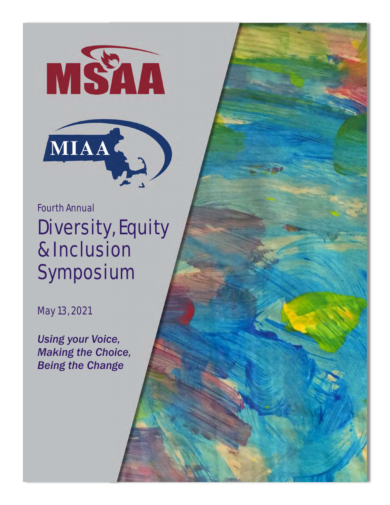



Fourth Annual Diversity, Equity & Inclusion Symposium

May 13, 2021

*Using your Voice, Making the Choice, Being the Change*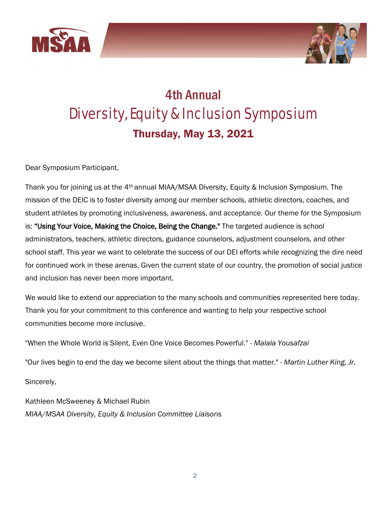



## 4th Annual Diversity, Equity & Inclusion Symposium Thursday, May 13, 2021

Dear Symposium Participant,

Thank you for joining us at the 4th annual MIAA/MSAA Diversity, Equity & Inclusion Symposium. The mission of the DEIC is to foster diversity among our member schools, athletic directors, coaches, and student athletes by promoting inclusiveness, awareness, and acceptance. Our theme for the Symposium is: "Using Your Voice, Making the Choice, Being the Change." The targeted audience is school administrators, teachers, athletic directors, guidance counselors, adjustment counselors, and other school staff. This year we want to celebrate the success of our DEI efforts while recognizing the dire need for continued work in these arenas. Given the current state of our country, the promotion of social justice and inclusion has never been more important.

We would like to extend our appreciation to the many schools and communities represented here today. Thank you for your commitment to this conference and wanting to help your respective school communities become more inclusive.

"When the Whole World is Silent, Even One Voice Becomes Powerful." - *Malala Yousafzai* 

"Our lives begin to end the day we become silent about the things that matter." - *Martin Luther King, Jr.*

Sincerely,

Kathleen McSweeney & Michael Rubin *MIAA/MSAA Diversity, Equity & Inclusion Committee Liaisons*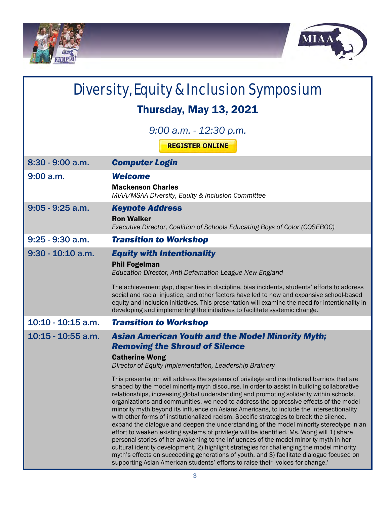



| Diversity, Equity & Inclusion Symposium             |                                                                                                                                                                                                                                                                                                                                                                                                                                                                                                                                                                                                                                                                                                                                                                                                                                                                                                                                                                                                                                                                                                                                                                                                                                                                                                                          |  |
|-----------------------------------------------------|--------------------------------------------------------------------------------------------------------------------------------------------------------------------------------------------------------------------------------------------------------------------------------------------------------------------------------------------------------------------------------------------------------------------------------------------------------------------------------------------------------------------------------------------------------------------------------------------------------------------------------------------------------------------------------------------------------------------------------------------------------------------------------------------------------------------------------------------------------------------------------------------------------------------------------------------------------------------------------------------------------------------------------------------------------------------------------------------------------------------------------------------------------------------------------------------------------------------------------------------------------------------------------------------------------------------------|--|
| <b>Thursday, May 13, 2021</b>                       |                                                                                                                                                                                                                                                                                                                                                                                                                                                                                                                                                                                                                                                                                                                                                                                                                                                                                                                                                                                                                                                                                                                                                                                                                                                                                                                          |  |
| $9:00$ a.m. $-12:30$ p.m.<br><b>REGISTER ONLINE</b> |                                                                                                                                                                                                                                                                                                                                                                                                                                                                                                                                                                                                                                                                                                                                                                                                                                                                                                                                                                                                                                                                                                                                                                                                                                                                                                                          |  |
| 8:30 - 9:00 a.m.                                    | <b>Computer Login</b>                                                                                                                                                                                                                                                                                                                                                                                                                                                                                                                                                                                                                                                                                                                                                                                                                                                                                                                                                                                                                                                                                                                                                                                                                                                                                                    |  |
| $9:00$ a.m.                                         | <b>Welcome</b><br><b>Mackenson Charles</b><br>MIAA/MSAA Diversity, Equity & Inclusion Committee                                                                                                                                                                                                                                                                                                                                                                                                                                                                                                                                                                                                                                                                                                                                                                                                                                                                                                                                                                                                                                                                                                                                                                                                                          |  |
| $9:05 - 9:25$ a.m.                                  | <b>Keynote Address</b><br><b>Ron Walker</b><br>Executive Director, Coalition of Schools Educating Boys of Color (COSEBOC)                                                                                                                                                                                                                                                                                                                                                                                                                                                                                                                                                                                                                                                                                                                                                                                                                                                                                                                                                                                                                                                                                                                                                                                                |  |
| $9:25 - 9:30$ a.m.                                  | <b>Transition to Workshop</b>                                                                                                                                                                                                                                                                                                                                                                                                                                                                                                                                                                                                                                                                                                                                                                                                                                                                                                                                                                                                                                                                                                                                                                                                                                                                                            |  |
| $9:30 - 10:10$ a.m.                                 | <b>Equity with Intentionality</b><br><b>Phil Fogelman</b><br>Education Director, Anti-Defamation League New England<br>The achievement gap, disparities in discipline, bias incidents, students' efforts to address<br>social and racial injustice, and other factors have led to new and expansive school-based<br>equity and inclusion initiatives. This presentation will examine the need for intentionality in<br>developing and implementing the initiatives to facilitate systemic change.                                                                                                                                                                                                                                                                                                                                                                                                                                                                                                                                                                                                                                                                                                                                                                                                                        |  |
| 10:10 - 10:15 a.m.                                  | <b>Transition to Workshop</b>                                                                                                                                                                                                                                                                                                                                                                                                                                                                                                                                                                                                                                                                                                                                                                                                                                                                                                                                                                                                                                                                                                                                                                                                                                                                                            |  |
| $10:15 - 10:55$ a.m.                                | <b>Asian American Youth and the Model Minority Myth;</b><br><b>Removing the Shroud of Silence</b><br><b>Catherine Wong</b><br>Director of Equity Implementation, Leadership Brainery<br>This presentation will address the systems of privilege and institutional barriers that are<br>shaped by the model minority myth discourse. In order to assist in building collaborative<br>relationships, increasing global understanding and promoting solidarity within schools,<br>organizations and communities, we need to address the oppressive effects of the model<br>minority myth beyond its influence on Asians Americans, to include the intersectionality<br>with other forms of institutionalized racism. Specific strategies to break the silence,<br>expand the dialogue and deepen the understanding of the model minority stereotype in an<br>effort to weaken existing systems of privilege will be identified. Ms. Wong will 1) share<br>personal stories of her awakening to the influences of the model minority myth in her<br>cultural identity development, 2) highlight strategies for challenging the model minority<br>myth's effects on succeeding generations of youth, and 3) facilitate dialogue focused on<br>supporting Asian American students' efforts to raise their 'voices for change.' |  |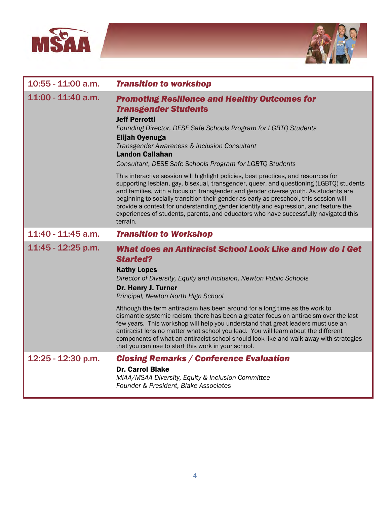



| 10:55 - 11:00 a.m. | <b>Transition to workshop</b>                                                                                                                                                                                                                                                                                                                                                                                                                                                                                                                                                                                                                                                                                                                                                                                                                                                                               |
|--------------------|-------------------------------------------------------------------------------------------------------------------------------------------------------------------------------------------------------------------------------------------------------------------------------------------------------------------------------------------------------------------------------------------------------------------------------------------------------------------------------------------------------------------------------------------------------------------------------------------------------------------------------------------------------------------------------------------------------------------------------------------------------------------------------------------------------------------------------------------------------------------------------------------------------------|
| 11:00 - 11:40 a.m. | <b>Promoting Resilience and Healthy Outcomes for</b><br><b>Transgender Students</b><br><b>Jeff Perrotti</b><br>Founding Director, DESE Safe Schools Program for LGBTQ Students<br><b>Elijah Oyenuga</b><br>Transgender Awareness & Inclusion Consultant<br><b>Landon Callahan</b><br>Consultant, DESE Safe Schools Program for LGBTQ Students<br>This interactive session will highlight policies, best practices, and resources for<br>supporting lesbian, gay, bisexual, transgender, queer, and questioning (LGBTQ) students<br>and families, with a focus on transgender and gender diverse youth. As students are<br>beginning to socially transition their gender as early as preschool, this session will<br>provide a context for understanding gender identity and expression, and feature the<br>experiences of students, parents, and educators who have successfully navigated this<br>terrain. |
| 11:40 - 11:45 a.m. | <b>Transition to Workshop</b>                                                                                                                                                                                                                                                                                                                                                                                                                                                                                                                                                                                                                                                                                                                                                                                                                                                                               |
| 11:45 - 12:25 p.m. | What does an Antiracist School Look Like and How do I Get<br><b>Started?</b><br><b>Kathy Lopes</b><br>Director of Diversity, Equity and Inclusion, Newton Public Schools<br>Dr. Henry J. Turner<br>Principal, Newton North High School<br>Although the term antiracism has been around for a long time as the work to<br>dismantle systemic racism, there has been a greater focus on antiracism over the last<br>few years. This workshop will help you understand that great leaders must use an                                                                                                                                                                                                                                                                                                                                                                                                          |
|                    | antiracist lens no matter what school you lead. You will learn about the different<br>components of what an antiracist school should look like and walk away with strategies<br>that you can use to start this work in your school.                                                                                                                                                                                                                                                                                                                                                                                                                                                                                                                                                                                                                                                                         |
| 12:25 - 12:30 p.m. | <b>Closing Remarks / Conference Evaluation</b><br><b>Dr. Carrol Blake</b><br>MIAA/MSAA Diversity, Equity & Inclusion Committee<br>Founder & President, Blake Associates                                                                                                                                                                                                                                                                                                                                                                                                                                                                                                                                                                                                                                                                                                                                     |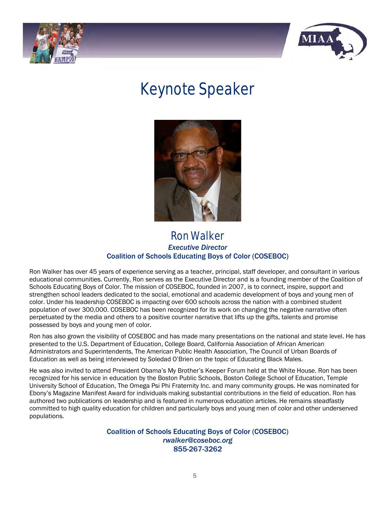



# Keynote Speaker



### Ron Walker *Executive Director* Coalition of Schools Educating Boys of Color (COSEBOC)

Ron Walker has over 45 years of experience serving as a teacher, principal, staff developer, and consultant in various educational communities. Currently, Ron serves as the Executive Director and is a founding member of the Coalition of Schools Educating Boys of Color. The mission of COSEBOC, founded in 2007, is to connect, inspire, support and strengthen school leaders dedicated to the social, emotional and academic development of boys and young men of color. Under his leadership COSEBOC is impacting over 600 schools across the nation with a combined student population of over 300,000. COSEBOC has been recognized for its work on changing the negative narrative often perpetuated by the media and others to a positive counter narrative that lifts up the gifts, talents and promise possessed by boys and young men of color.

Ron has also grown the visibility of COSEBOC and has made many presentations on the national and state level. He has presented to the U.S. Department of Education, College Board, California Association of African American Administrators and Superintendents, The American Public Health Association, The Council of Urban Boards of Education as well as being interviewed by Soledad O'Brien on the topic of Educating Black Males.

He was also invited to attend President Obama's My Brother's Keeper Forum held at the White House. Ron has been recognized for his service in education by the Boston Public Schools, Boston College School of Education, Temple University School of Education, The Omega Psi Phi Fraternity Inc. and many community groups. He was nominated for Ebony's Magazine Manifest Award for individuals making substantial contributions in the field of education. Ron has authored two publications on leadership and is featured in numerous education articles. He remains steadfastly committed to high quality education for children and particularly boys and young men of color and other underserved populations.

> Coalition of Schools Educating Boys of Color (COSEBOC) *rwalker@coseboc.org*  855-267-3262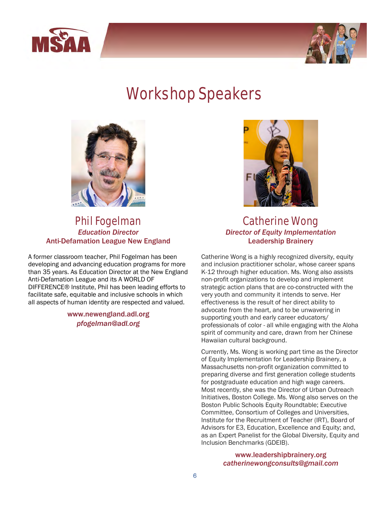



## Workshop Speakers



#### Phil Fogelman *Education Director*  Anti-Defamation League New England

A former classroom teacher, Phil Fogelman has been developing and advancing education programs for more than 35 years. As Education Director at the New England Anti-Defamation League and its A WORLD OF DIFFERENCE® Institute, Phil has been leading efforts to facilitate safe, equitable and inclusive schools in which all aspects of human identity are respected and valued.

> www.newengland.adl.org *pfogelman@adl.org*



### Catherine Wong *Director of Equity Implementation* Leadership Brainery

Catherine Wong is a highly recognized diversity, equity and inclusion practitioner scholar, whose career spans K-12 through higher education. Ms. Wong also assists non-profit organizations to develop and implement strategic action plans that are co-constructed with the very youth and community it intends to serve. Her effectiveness is the result of her direct ability to advocate from the heart, and to be unwavering in supporting youth and early career educators/ professionals of color - all while engaging with the Aloha spirit of community and care, drawn from her Chinese Hawaiian cultural background.

Currently, Ms. Wong is working part time as the Director of Equity Implementation for Leadership Brainery, a Massachusetts non-profit organization committed to preparing diverse and first generation college students for postgraduate education and high wage careers. Most recently, she was the Director of Urban Outreach Initiatives, Boston College. Ms. Wong also serves on the Boston Public Schools Equity Roundtable; Executive Committee, Consortium of Colleges and Universities, Institute for the Recruitment of Teacher (IRT), Board of Advisors for E3, Education, Excellence and Equity; and, as an Expert Panelist for the Global Diversity, Equity and Inclusion Benchmarks (GDEIB).

> www.leadershipbrainery.org *catherinewongconsults@gmail.com*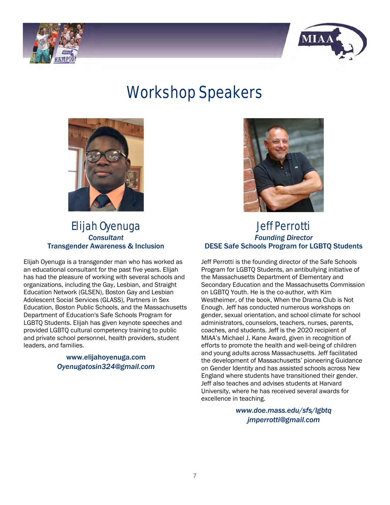



# Workshop Speakers



### Elijah Oyenuga *Consultant*  Transgender Awareness & Inclusion

Elijah Oyenuga is a transgender man who has worked as an educational consultant for the past five years. Elijah has had the pleasure of working with several schools and organizations, including the Gay, Lesbian, and Straight Education Network (GLSEN), Boston Gay and Lesbian Adolescent Social Services (GLASS), Partners in Sex Education, Boston Public Schools, and the Massachusetts Department of Education's Safe Schools Program for LGBTQ Students. Elijah has given keynote speeches and provided LGBTQ cultural competency training to public and private school personnel, health providers, student leaders, and families.

#### www.elijahoyenuga.com *Oyenugatosin324@gmail.com*



### Jeff Perrotti *Founding Director*  DESE Safe Schools Program for LGBTQ Students

Jeff Perrotti is the founding director of the Safe Schools Program for LGBTQ Students, an antibullying initiative of the Massachusetts Department of Elementary and Secondary Education and the Massachusetts Commission on LGBTQ Youth. He is the co-author, with Kim Westheimer, of the book, When the Drama Club is Not Enough. Jeff has conducted numerous workshops on gender, sexual orientation, and school climate for school administrators, counselors, teachers, nurses, parents, coaches, and students. Jeff is the 2020 recipient of MIAA's Michael J. Kane Award, given in recognition of efforts to promote the health and well-being of children and young adults across Massachusetts. Jeff facilitated the development of Massachusetts' pioneering Guidance on Gender Identity and has assisted schools across New England where students have transitioned their gender. Jeff also teaches and advises students at Harvard University, where he has received several awards for excellence in teaching.

> *www.doe.mass.edu/sfs/lgbtq jmperrotti@gmail.com*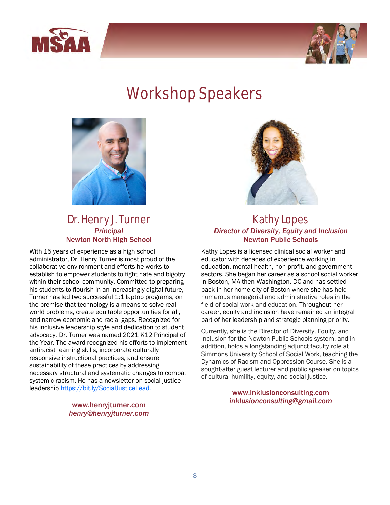



# Workshop Speakers



### Dr. Henry J. Turner *Principal* Newton North High School

With 15 years of experience as a high school administrator, Dr. Henry Turner is most proud of the collaborative environment and efforts he works to establish to empower students to fight hate and bigotry within their school community. Committed to preparing his students to flourish in an increasingly digital future, Turner has led two successful 1:1 laptop programs, on the premise that technology is a means to solve real world problems, create equitable opportunities for all, and narrow economic and racial gaps. Recognized for his inclusive leadership style and dedication to student advocacy, Dr. Turner was named 2021 K12 Principal of the Year. The award recognized his efforts to implement antiracist learning skills, incorporate culturally responsive instructional practices, and ensure sustainability of these practices by addressing necessary structural and systematic changes to combat systemic racism. He has a newsletter on social justice leadership<https://bit.ly/SocialJusticeLead.>

#### www.henryjturner.com *henry@henryjturner.com*



#### Kathy Lopes *Director of Diversity, Equity and Inclusion* Newton Public Schools

Kathy Lopes is a licensed clinical social worker and educator with decades of experience working in education, mental health, non-profit, and government sectors. She began her career as a school social worker in Boston, MA then Washington, DC and has settled back in her home city of Boston where she has held numerous managerial and administrative roles in the field of social work and education. Throughout her career, equity and inclusion have remained an integral part of her leadership and strategic planning priority.

Currently, she is the Director of Diversity, Equity, and Inclusion for the Newton Public Schools system, and in addition, holds a longstanding adjunct faculty role at Simmons University School of Social Work, teaching the Dynamics of Racism and Oppression Course. She is a sought-after guest lecturer and public speaker on topics of cultural humility, equity, and social justice.

> www.inklusionconsulting.com *inklusionconsulting@gmail.com*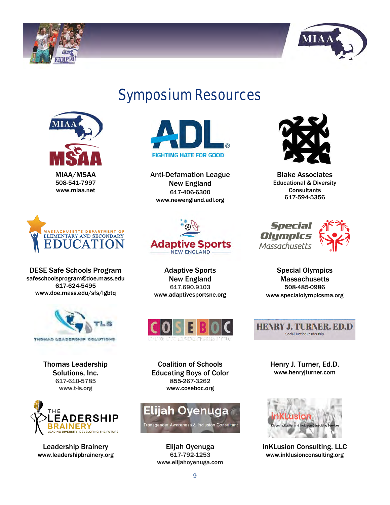



## Symposium Resources



MIAA/MSAA 508-541-7997 www.miaa.net



Anti-Defamation League New England 617-406-6300 www.newengland.adl.org



Blake Associates Educational & Diversity **Consultants** 617-594-5356



DESE Safe Schools Program safeschoolsprogram@doe.mass.edu 617-624-5495 www.doe.mass.edu/sfs/lgbtq



Thomas Leadership Solutions, Inc. 617-610-5785 www.t-ls.org



Leadership Brainery www.leadershipbrainery.org



Adaptive Sports New England 617.690.9103 www.adaptivesportsne.org



Coalition of Schools Educating Boys of Color 855-267-3262 www.coseboc.org



Elijah Oyenuga 617-792-1253 www.elijahoyenuga.com



Special

Olympics

Special Olympics **Massachusetts** 508-485-0986 www.specialolympicsma.org



Henry J. Turner, Ed.D. www.henryjturner.com



inKLusion Consulting, LLC www.inklusionconsulting.org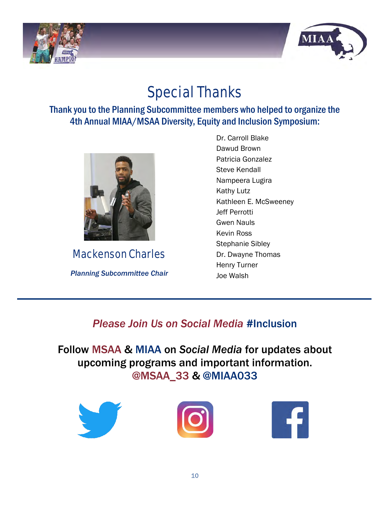



## Special Thanks

### Thank you to the Planning Subcommittee members who helped to organize the 4th Annual MIAA/MSAA Diversity, Equity and Inclusion Symposium:



Mackenson Charles

*Planning Subcommittee Chair*

Dr. Carroll Blake Dawud Brown Patricia Gonzalez Steve Kendall Nampeera Lugira Kathy Lutz Kathleen E. McSweeney Jeff Perrotti Gwen Nauls Kevin Ross Stephanie Sibley Dr. Dwayne Thomas Henry Turner Joe Walsh

### *Please Join Us on Social Media* #Inclusion

Follow MSAA & MIAA on *Social Media* for updates about upcoming programs and important information. @MSAA\_33 & @MIAA033





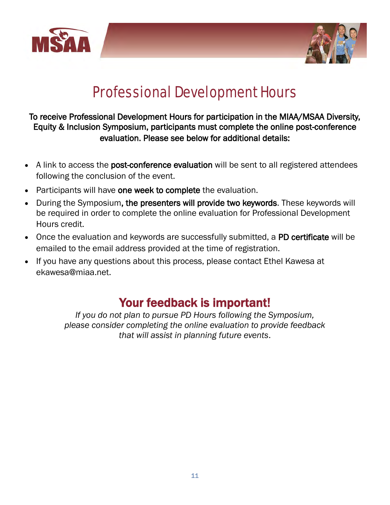



## Professional Development Hours

### To receive Professional Development Hours for participation in the MIAA/MSAA Diversity, Equity & Inclusion Symposium, participants must complete the online post-conference evaluation. Please see below for additional details:

- A link to access the **post-conference evaluation** will be sent to all registered attendees following the conclusion of the event.
- Participants will have one week to complete the evaluation.
- During the Symposium, the presenters will provide two keywords. These keywords will be required in order to complete the online evaluation for Professional Development Hours credit.
- Once the evaluation and keywords are successfully submitted, a PD certificate will be emailed to the email address provided at the time of registration.
- If you have any questions about this process, please contact Ethel Kawesa at ekawesa@miaa.net.

### Your feedback is important!

*If you do not plan to pursue PD Hours following the Symposium, please consider completing the online evaluation to provide feedback that will assist in planning future events*.